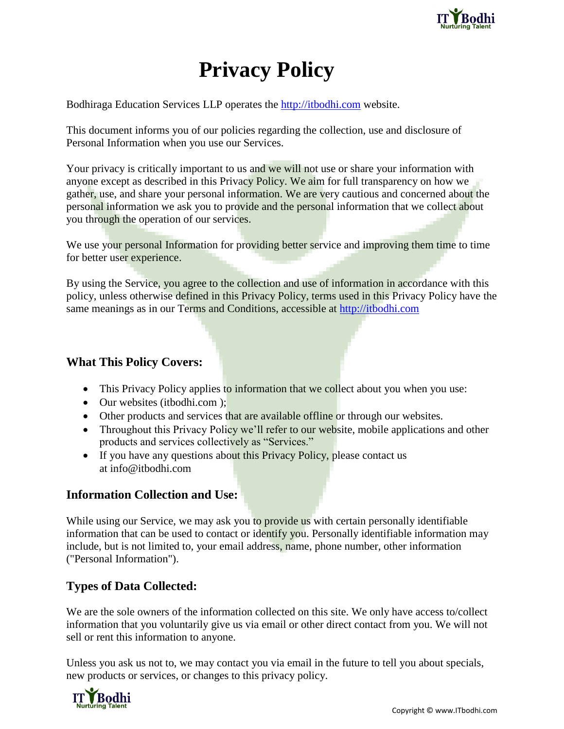

# **Privacy Policy**

Bodhiraga Education Services LLP operates the [http://itbodhi.com](http://itbodhi.com/) website.

This document informs you of our policies regarding the collection, use and disclosure of Personal Information when you use our Services.

Your privacy is critically important to us and we will not use or share your information with anyone except as described in this Privacy Policy. We aim for full transparency on how we gather, use, and share your personal information. We are very cautious and concerned about the personal information we ask you to provide and the personal information that we collect about you through the operation of our services.

We use your personal Information for providing better service and improving them time to time for better user experience.

By using the Service, you agree to the collection and use of information in accordance with this policy, unless otherwise defined in this Privacy Policy, terms used in this Privacy Policy have the same meanings as in our Terms and Conditions, accessible at [http://itbodhi.com](http://itbodhi.com/)

# **What This Policy Covers:**

- This Privacy Policy applies to information that we collect about you when you use:
- Our websites (itbodhi.com );
- Other products and services that are available offline or through our websites.
- Throughout this Privacy Policy we'll refer to our website, mobile applications and other products and services collectively as "Services."
- If you have any questions about this Privacy Policy, please contact us at [info@itbodhi.com](mailto:info@itbodhi.com)

# **Information Collection and Use:**

While using our Service, we may ask you to provide us with certain personally identifiable information that can be used to contact or identify you. Personally identifiable information may include, but is not limited to, your email address, name, phone number, other information ("Personal Information").

# **Types of Data Collected:**

We are the sole owners of the information collected on this site. We only have access to/collect information that you voluntarily give us via email or other direct contact from you. We will not sell or rent this information to anyone.

Unless you ask us not to, we may contact you via email in the future to tell you about specials, new products or services, or changes to this privacy policy.

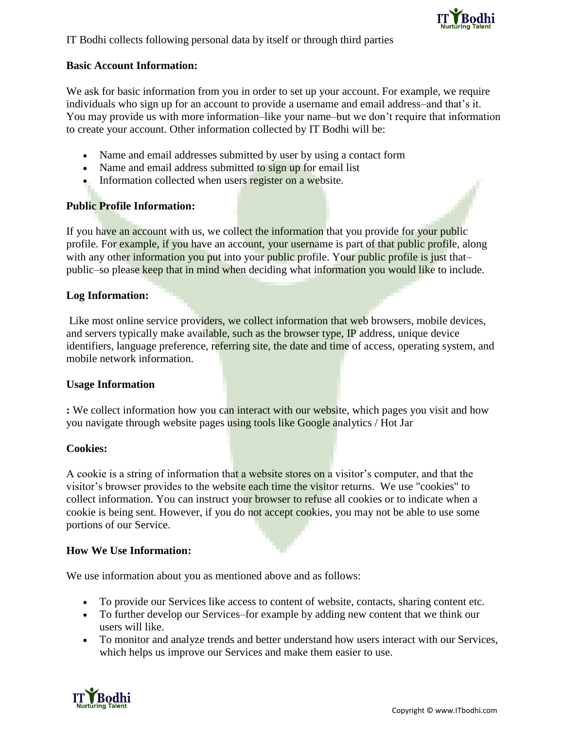

#### **Basic Account Information:**

We ask for basic information from you in order to set up your account. For example, we require individuals who sign up for an account to provide a username and email address–and that's it. You may provide us with more information–like your name–but we don't require that information to create your account. Other information collected by IT Bodhi will be:

- Name and email addresses submitted by user by using a contact form
- Name and email address submitted to sign up for email list
- Information collected when users register on a website.

## **Public Profile Information:**

If you have an account with us, we collect the information that you provide for your public profile. For example, if you have an account, your username is part of that public profile, along with any other information you put into your public profile. Your public profile is just thatpublic–so please keep that in mind when deciding what information you would like to include.

#### **Log Information:**

Like most online service providers, we collect information that web browsers, mobile devices, and servers typically make available, such as the browser type, IP address, unique device identifiers, language preference, referring site, the date and time of access, operating system, and mobile network information.

#### **Usage Information**

**:** We collect information how you can interact with our website, which pages you visit and how you navigate through website pages using tools like Google analytics / Hot Jar

#### **Cookies:**

A cookie is a string of information that a website stores on a visitor's computer, and that the visitor's browser provides to the website each time the visitor returns. We use "cookies" to collect information. You can instruct your browser to refuse all cookies or to indicate when a cookie is being sent. However, if you do not accept cookies, you may not be able to use some portions of our Service.

#### **How We Use Information:**

We use information about you as mentioned above and as follows:

- To provide our Services like access to content of website, contacts, sharing content etc.
- To further develop our Services–for example by adding new content that we think our users will like.
- To monitor and analyze trends and better understand how users interact with our Services, which helps us improve our Services and make them easier to use.